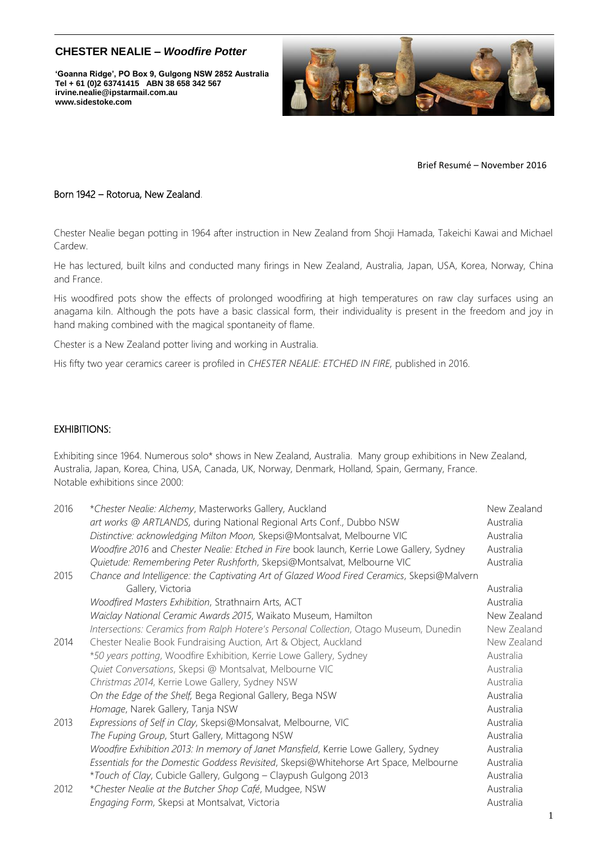# **CHESTER NEALIE –** *Woodfire Potter*

 **'Goanna Ridge', PO Box 9, Gulgong NSW 2852 Australia irvine.nealie@ipstarmail.com.au www.sidestoke.comTel + 61 (0)2 63741415 ABN 38 658 342 567**



Brief Resumé – November 2016

#### Born 1942 – Rotorua, New Zealand.

Chester Nealie began potting in 1964 after instruction in New Zealand from Shoji Hamada, Takeichi Kawai and Michael Cardew.

He has lectured, built kilns and conducted many firings in New Zealand, Australia, Japan, USA, Korea, Norway, China and France.

His woodfired pots show the effects of prolonged woodfiring at high temperatures on raw clay surfaces using an anagama kiln. Although the pots have a basic classical form, their individuality is present in the freedom and joy in hand making combined with the magical spontaneity of flame.

Chester is a New Zealand potter living and working in Australia.

His fifty two year ceramics career is profiled in *CHESTER NEALIE: ETCHED IN FIRE,* published in 2016.

#### EXHIBITIONS:

Exhibiting since 1964. Numerous solo\* shows in New Zealand, Australia. Many group exhibitions in New Zealand, Australia, Japan, Korea, China, USA, Canada, UK, Norway, Denmark, Holland, Spain, Germany, France. Notable exhibitions since 2000:

| 2016 | *Chester Nealie: Alchemy, Masterworks Gallery, Auckland                                    | New Zealand |
|------|--------------------------------------------------------------------------------------------|-------------|
|      | art works @ ARTLANDS, during National Regional Arts Conf., Dubbo NSW                       | Australia   |
|      | Distinctive: acknowledging Milton Moon, Skepsi@Montsalvat, Melbourne VIC                   | Australia   |
|      | Woodfire 2016 and Chester Nealie: Etched in Fire book launch, Kerrie Lowe Gallery, Sydney  | Australia   |
|      | Quietude: Remembering Peter Rushforth, Skepsi@Montsalvat, Melbourne VIC                    | Australia   |
| 2015 | Chance and Intelligence: the Captivating Art of Glazed Wood Fired Ceramics, Skepsi@Malvern |             |
|      | Gallery, Victoria                                                                          | Australia   |
|      | Woodfired Masters Exhibition, Strathnairn Arts, ACT                                        | Australia   |
|      | Waiclay National Ceramic Awards 2015, Waikato Museum, Hamilton                             | New Zealand |
|      | Intersections: Ceramics from Ralph Hotere's Personal Collection, Otago Museum, Dunedin     | New Zealand |
| 2014 | Chester Nealie Book Fundraising Auction, Art & Object, Auckland                            | New Zealand |
|      | *50 years potting, Woodfire Exhibition, Kerrie Lowe Gallery, Sydney                        | Australia   |
|      | Quiet Conversations, Skepsi @ Montsalvat, Melbourne VIC                                    | Australia   |
|      | Christmas 2014, Kerrie Lowe Gallery, Sydney NSW                                            | Australia   |
|      | On the Edge of the Shelf, Bega Regional Gallery, Bega NSW                                  | Australia   |
|      | Homage, Narek Gallery, Tanja NSW                                                           | Australia   |
| 2013 | Expressions of Self in Clay, Skepsi@Monsalvat, Melbourne, VIC                              | Australia   |
|      | The Fuping Group, Sturt Gallery, Mittagong NSW                                             | Australia   |
|      | Woodfire Exhibition 2013: In memory of Janet Mansfield, Kerrie Lowe Gallery, Sydney        | Australia   |
|      | Essentials for the Domestic Goddess Revisited, Skepsi@Whitehorse Art Space, Melbourne      | Australia   |
|      | *Touch of Clay, Cubicle Gallery, Gulgong - Claypush Gulgong 2013                           | Australia   |
| 2012 | *Chester Nealie at the Butcher Shop Café, Mudgee, NSW                                      | Australia   |
|      | Engaging Form, Skepsi at Montsalvat, Victoria                                              | Australia   |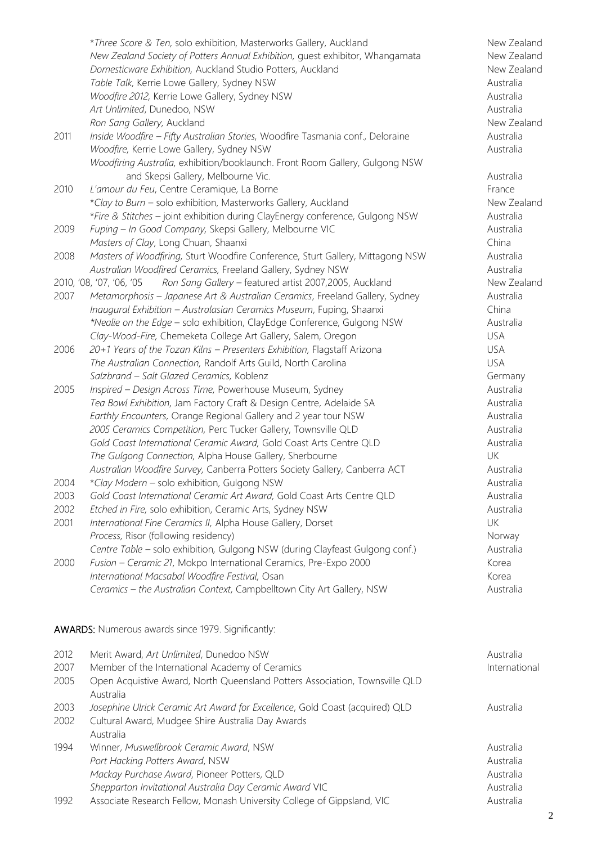|      | *Three Score & Ten, solo exhibition, Masterworks Gallery, Auckland                 | New Zealand |
|------|------------------------------------------------------------------------------------|-------------|
|      | New Zealand Society of Potters Annual Exhibition, guest exhibitor, Whangamata      | New Zealand |
|      | Domesticware Exhibition, Auckland Studio Potters, Auckland                         | New Zealand |
|      | Table Talk, Kerrie Lowe Gallery, Sydney NSW                                        | Australia   |
|      | Woodfire 2012, Kerrie Lowe Gallery, Sydney NSW                                     | Australia   |
|      | Art Unlimited, Dunedoo, NSW                                                        | Australia   |
|      | Ron Sang Gallery, Auckland                                                         | New Zealand |
| 2011 | Inside Woodfire - Fifty Australian Stories, Woodfire Tasmania conf., Deloraine     | Australia   |
|      | Woodfire, Kerrie Lowe Gallery, Sydney NSW                                          | Australia   |
|      | Woodfiring Australia, exhibition/booklaunch. Front Room Gallery, Gulgong NSW       |             |
|      | and Skepsi Gallery, Melbourne Vic.                                                 | Australia   |
| 2010 | L'amour du Feu, Centre Ceramique, La Borne                                         | France      |
|      | *Clay to Burn - solo exhibition, Masterworks Gallery, Auckland                     | New Zealand |
|      | *Fire & Stitches - joint exhibition during ClayEnergy conference, Gulgong NSW      | Australia   |
| 2009 | Fuping - In Good Company, Skepsi Gallery, Melbourne VIC                            | Australia   |
|      | Masters of Clay, Long Chuan, Shaanxi                                               | China       |
| 2008 | Masters of Woodfiring, Sturt Woodfire Conference, Sturt Gallery, Mittagong NSW     | Australia   |
|      | Australian Woodfired Ceramics, Freeland Gallery, Sydney NSW                        | Australia   |
|      | Ron Sang Gallery - featured artist 2007,2005, Auckland<br>2010, '08, '07, '06, '05 | New Zealand |
| 2007 | Metamorphosis - Japanese Art & Australian Ceramics, Freeland Gallery, Sydney       | Australia   |
|      | Inaugural Exhibition - Australasian Ceramics Museum, Fuping, Shaanxi               | China       |
|      | *Nealie on the Edge - solo exhibition, ClayEdge Conference, Gulgong NSW            | Australia   |
|      | Clay-Wood-Fire, Chemeketa College Art Gallery, Salem, Oregon                       | <b>USA</b>  |
| 2006 | 20+1 Years of the Tozan Kilns - Presenters Exhibition, Flagstaff Arizona           | <b>USA</b>  |
|      | The Australian Connection, Randolf Arts Guild, North Carolina                      | <b>USA</b>  |
|      | Salzbrand - Salt Glazed Ceramics, Koblenz                                          | Germany     |
| 2005 | Inspired - Design Across Time, Powerhouse Museum, Sydney                           | Australia   |
|      | Tea Bowl Exhibition, Jam Factory Craft & Design Centre, Adelaide SA                | Australia   |
|      | Earthly Encounters, Orange Regional Gallery and 2 year tour NSW                    | Australia   |
|      | 2005 Ceramics Competition, Perc Tucker Gallery, Townsville QLD                     | Australia   |
|      | Gold Coast International Ceramic Award, Gold Coast Arts Centre QLD                 | Australia   |
|      | The Gulgong Connection, Alpha House Gallery, Sherbourne                            | <b>UK</b>   |
|      | Australian Woodfire Survey, Canberra Potters Society Gallery, Canberra ACT         | Australia   |
| 2004 | *Clay Modern - solo exhibition, Gulgong NSW                                        | Australia   |
| 2003 | Gold Coast International Ceramic Art Award, Gold Coast Arts Centre QLD             | Australia   |
| 2002 | Etched in Fire, solo exhibition, Ceramic Arts, Sydney NSW                          | Australia   |
| 2001 | International Fine Ceramics II, Alpha House Gallery, Dorset                        | UK          |
|      | Process, Risor (following residency)                                               | Norway      |
|      | Centre Table - solo exhibition, Gulgong NSW (during Clayfeast Gulgong conf.)       | Australia   |
| 2000 | Fusion - Ceramic 21, Mokpo International Ceramics, Pre-Expo 2000                   | Korea       |
|      | International Macsabal Woodfire Festival, Osan                                     | Korea       |
|      | Ceramics - the Australian Context, Campbelltown City Art Gallery, NSW              | Australia   |
|      |                                                                                    |             |
|      | <b>AWARDS:</b> Numerous awards since 1979. Significantly:                          |             |

| 2012<br>2007<br>2005 | Merit Award, Art Unlimited, Dunedoo NSW<br>Member of the International Academy of Ceramics<br>Open Acquistive Award, North Queensland Potters Association, Townsville QLD | Australia<br>International          |
|----------------------|---------------------------------------------------------------------------------------------------------------------------------------------------------------------------|-------------------------------------|
| 2003                 | Australia<br>Josephine Ulrick Ceramic Art Award for Excellence, Gold Coast (acquired) QLD                                                                                 | Australia                           |
| 2002                 | Cultural Award, Mudgee Shire Australia Day Awards<br>Australia                                                                                                            |                                     |
| 1994                 | Winner, Muswellbrook Ceramic Award, NSW<br>Port Hacking Potters Award, NSW<br>Mackay Purchase Award, Pioneer Potters, QLD                                                 | Australia<br>Australia<br>Australia |
| 1992                 | Shepparton Invitational Australia Day Ceramic Award VIC<br>Associate Research Fellow, Monash University College of Gippsland, VIC                                         | Australia<br>Australia              |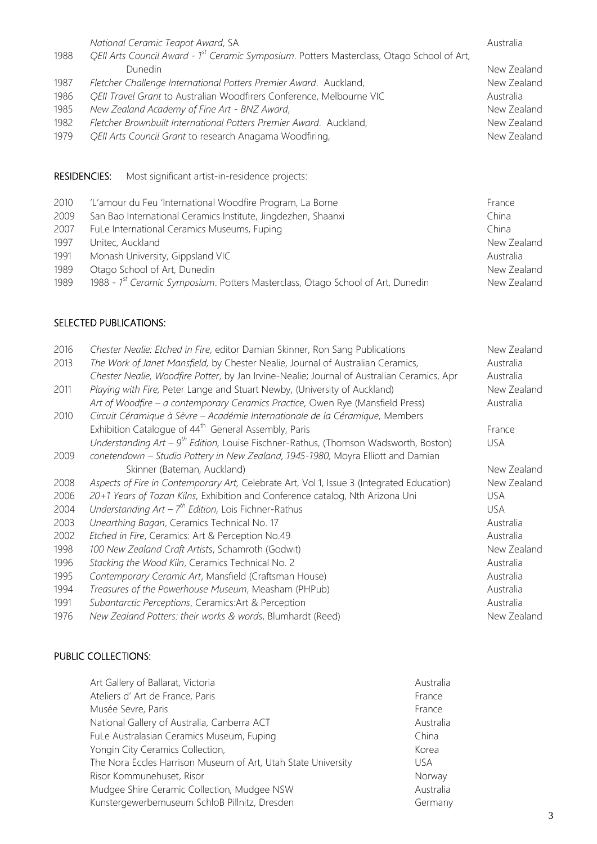|                     | National Ceramic Teapot Award, SA                                                                      | Australia   |
|---------------------|--------------------------------------------------------------------------------------------------------|-------------|
| 1988                | QEII Arts Council Award - 1 <sup>st</sup> Ceramic Symposium. Potters Masterclass, Otago School of Art, |             |
|                     | Dunedin                                                                                                | New Zealand |
| 1987                | Fletcher Challenge International Potters Premier Award. Auckland,                                      | New Zealand |
| 1986                | QEII Travel Grant to Australian Woodfirers Conference, Melbourne VIC                                   | Australia   |
| 1985                | New Zealand Academy of Fine Art - BNZ Award,                                                           | New Zealand |
| 1982                | Fletcher Brownbuilt International Potters Premier Award. Auckland,                                     | New Zealand |
| 1979                | QEII Arts Council Grant to research Anagama Woodfiring,                                                | New Zealand |
|                     |                                                                                                        |             |
|                     |                                                                                                        |             |
| <b>RESIDENCIES:</b> | Most significant artist-in-residence projects:                                                         |             |
| 2010                | 'L'amour du Feu 'International Woodfire Program, La Borne                                              | France      |
| 2009                | San Bao International Ceramics Institute, Jingdezhen, Shaanxi                                          | China       |

- 2007 FuLe International Ceramics Museums, Fuping China China China
- 1997 Unitec, Auckland New Zealand New Zealand
- 1991 Monash University, Gippsland VIC and the Control of the Control of Australia
- 1989 Otago School of Art, Dunedin New Zealand
- 1989 1988 1<sup>st</sup> Ceramic Symposium. Potters Masterclass, Otago School of Art, Dunedin New Zealand

### SELECTED PUBLICATIONS:

| 2016<br>2013 | Chester Nealie: Etched in Fire, editor Damian Skinner, Ron Sang Publications<br>The Work of Janet Mansfield, by Chester Nealie, Journal of Australian Ceramics,<br>Chester Nealie, Woodfire Potter, by Jan Irvine-Nealie; Journal of Australian Ceramics, Apr | New Zealand<br>Australia<br>Australia |
|--------------|---------------------------------------------------------------------------------------------------------------------------------------------------------------------------------------------------------------------------------------------------------------|---------------------------------------|
| 2011         | Playing with Fire, Peter Lange and Stuart Newby, (University of Auckland)<br>Art of Woodfire - a contemporary Ceramics Practice, Owen Rye (Mansfield Press)                                                                                                   | New Zealand<br>Australia              |
| 2010         | Circuit Céramique à Sèvre - Académie Internationale de la Céramique, Members                                                                                                                                                                                  |                                       |
|              | Exhibition Catalogue of 44 <sup>th</sup> General Assembly, Paris                                                                                                                                                                                              | France                                |
|              | Understanding Art – $9^{th}$ Edition, Louise Fischner-Rathus, (Thomson Wadsworth, Boston)                                                                                                                                                                     | USA                                   |
| 2009         | conetendown - Studio Pottery in New Zealand, 1945-1980, Moyra Elliott and Damian                                                                                                                                                                              |                                       |
|              | Skinner (Bateman, Auckland)                                                                                                                                                                                                                                   | New Zealand                           |
| 2008         | Aspects of Fire in Contemporary Art, Celebrate Art, Vol.1, Issue 3 (Integrated Education)                                                                                                                                                                     | New Zealand                           |
| 2006         | 20+1 Years of Tozan Kilns, Exhibition and Conference catalog, Nth Arizona Uni                                                                                                                                                                                 | <b>USA</b>                            |
| 2004         | Understanding $Art - 7th Edition$ , Lois Fichner-Rathus                                                                                                                                                                                                       | <b>USA</b>                            |
| 2003         | Unearthing Bagan, Ceramics Technical No. 17                                                                                                                                                                                                                   | Australia                             |
| 2002         | Etched in Fire, Ceramics: Art & Perception No.49                                                                                                                                                                                                              | Australia                             |
| 1998         | 100 New Zealand Craft Artists, Schamroth (Godwit)                                                                                                                                                                                                             | New Zealand                           |
| 1996         | Stacking the Wood Kiln, Ceramics Technical No. 2                                                                                                                                                                                                              | Australia                             |
| 1995         | Contemporary Ceramic Art, Mansfield (Craftsman House)                                                                                                                                                                                                         | Australia                             |
| 1994         | Treasures of the Powerhouse Museum, Measham (PHPub)                                                                                                                                                                                                           | Australia                             |
| 1991         | Subantarctic Perceptions, Ceramics: Art & Perception                                                                                                                                                                                                          | Australia                             |
| 1976         | New Zealand Potters: their works & words, Blumhardt (Reed)                                                                                                                                                                                                    | New Zealand                           |

# PUBLIC COLLECTIONS:

| Art Gallery of Ballarat, Victoria                             | Australia |
|---------------------------------------------------------------|-----------|
| Ateliers d'Art de France, Paris                               | France    |
| Musée Sevre, Paris                                            | France    |
| National Gallery of Australia, Canberra ACT                   | Australia |
| FuLe Australasian Ceramics Museum, Fuping                     | China     |
| Yongin City Ceramics Collection,                              | Korea     |
| The Nora Eccles Harrison Museum of Art, Utah State University | USA.      |
| Risor Kommunehuset, Risor                                     | Norway    |
| Mudgee Shire Ceramic Collection, Mudgee NSW                   | Australia |
| Kunstergewerbemuseum SchloB Pillnitz, Dresden                 | Germany   |
|                                                               |           |